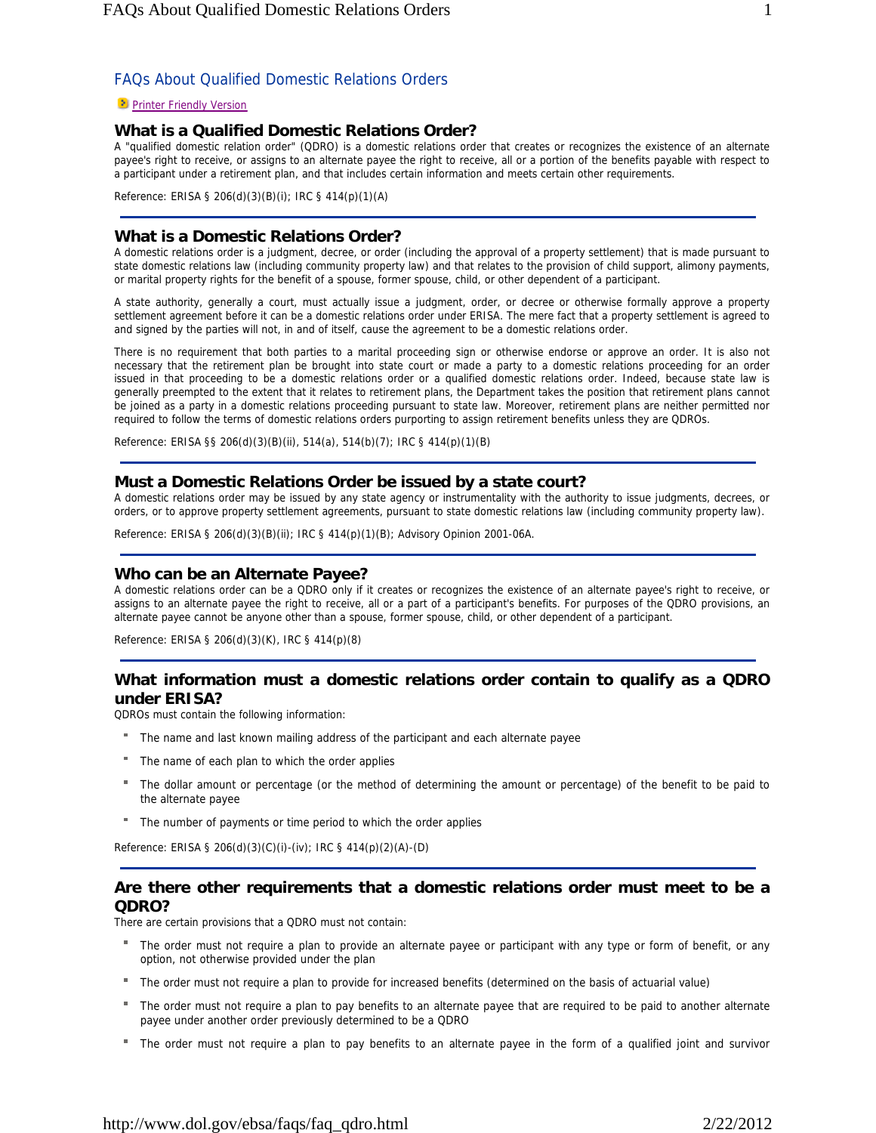#### **Printer Friendly Version**

# **What is a Qualified Domestic Relations Order?**

A "qualified domestic relation order" (QDRO) is a domestic relations order that creates or recognizes the existence of an alternate payee's right to receive, or assigns to an alternate payee the right to receive, all or a portion of the benefits payable with respect to a participant under a retirement plan, and that includes certain information and meets certain other requirements.

Reference: ERISA § 206(d)(3)(B)(i); IRC § 414(p)(1)(A)

## **What is a Domestic Relations Order?**

A domestic relations order is a judgment, decree, or order (including the approval of a property settlement) that is made pursuant to state domestic relations law (including community property law) and that relates to the provision of child support, alimony payments, or marital property rights for the benefit of a spouse, former spouse, child, or other dependent of a participant.

A state authority, generally a court, must actually issue a judgment, order, or decree or otherwise formally approve a property settlement agreement before it can be a domestic relations order under ERISA. The mere fact that a property settlement is agreed to and signed by the parties will not, in and of itself, cause the agreement to be a domestic relations order.

There is no requirement that both parties to a marital proceeding sign or otherwise endorse or approve an order. It is also not necessary that the retirement plan be brought into state court or made a party to a domestic relations proceeding for an order issued in that proceeding to be a domestic relations order or a qualified domestic relations order. Indeed, because state law is generally preempted to the extent that it relates to retirement plans, the Department takes the position that retirement plans cannot be joined as a party in a domestic relations proceeding pursuant to state law. Moreover, retirement plans are neither permitted nor required to follow the terms of domestic relations orders purporting to assign retirement benefits unless they are QDROs.

Reference: ERISA §§ 206(d)(3)(B)(ii), 514(a), 514(b)(7); IRC § 414(p)(1)(B)

## **Must a Domestic Relations Order be issued by a state court?**

A domestic relations order may be issued by any state agency or instrumentality with the authority to issue judgments, decrees, or orders, or to approve property settlement agreements, pursuant to state domestic relations law (including community property law).

Reference: ERISA § 206(d)(3)(B)(ii); IRC § 414(p)(1)(B); Advisory Opinion 2001-06A.

### **Who can be an Alternate Payee?**

A domestic relations order can be a QDRO only if it creates or recognizes the existence of an alternate payee's right to receive, or assigns to an alternate payee the right to receive, all or a part of a participant's benefits. For purposes of the QDRO provisions, an alternate payee cannot be anyone other than a spouse, former spouse, child, or other dependent of a participant.

Reference: ERISA § 206(d)(3)(K), IRC § 414(p)(8)

# **What information must a domestic relations order contain to qualify as a QDRO under ERISA?**

QDROs must contain the following information:

- The name and last known mailing address of the participant and each alternate payee
- The name of each plan to which the order applies
- The dollar amount or percentage (or the method of determining the amount or percentage) of the benefit to be paid to the alternate payee
- The number of payments or time period to which the order applies

Reference: ERISA § 206(d)(3)(C)(i)-(iv); IRC § 414(p)(2)(A)-(D)

# **Are there other requirements that a domestic relations order must meet to be a QDRO?**

There are certain provisions that a QDRO must not contain:

- The order must not require a plan to provide an alternate payee or participant with any type or form of benefit, or any option, not otherwise provided under the plan
- The order must not require a plan to provide for increased benefits (determined on the basis of actuarial value)
- The order must not require a plan to pay benefits to an alternate payee that are required to be paid to another alternate payee under another order previously determined to be a QDRO
- The order must not require a plan to pay benefits to an alternate payee in the form of a qualified joint and survivor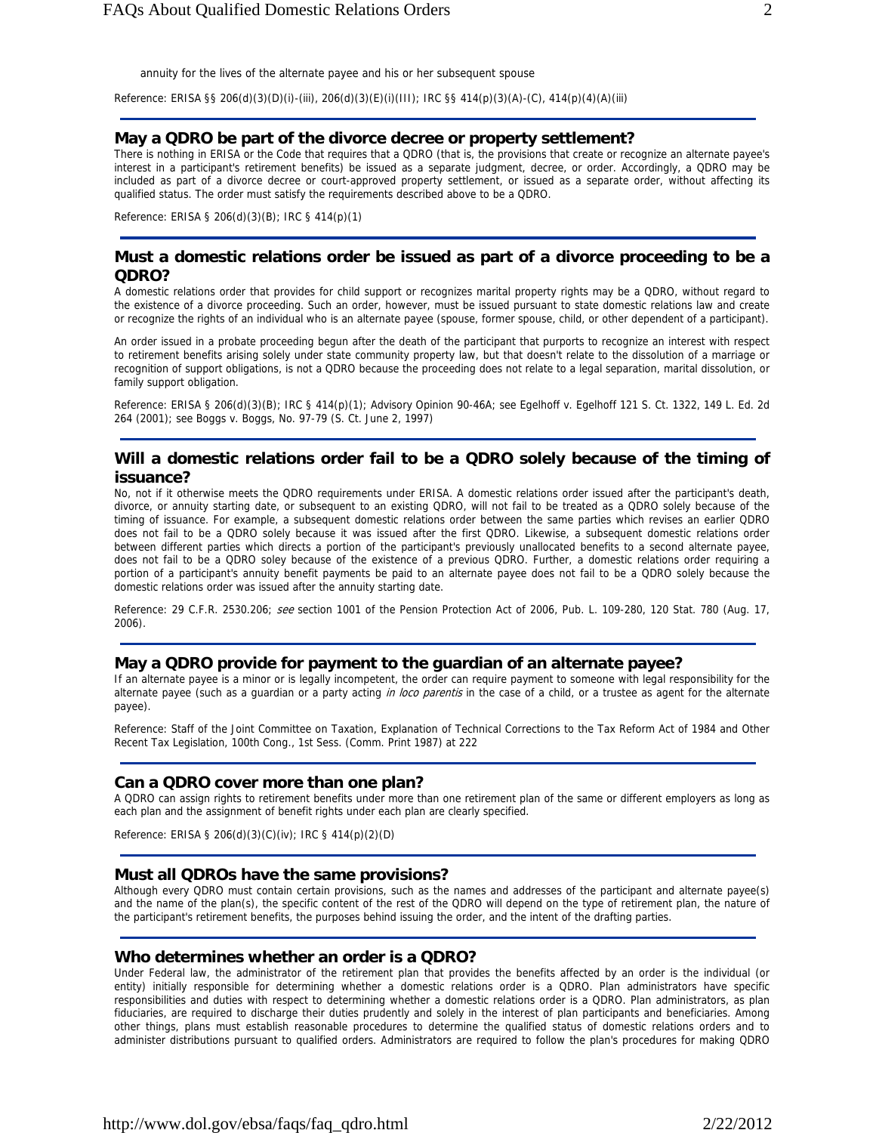annuity for the lives of the alternate payee and his or her subsequent spouse

Reference: ERISA §§ 206(d)(3)(D)(i)-(iii), 206(d)(3)(E)(i)(III); IRC §§ 414(p)(3)(A)-(C), 414(p)(4)(A)(iii)

#### **May a QDRO be part of the divorce decree or property settlement?**

There is nothing in ERISA or the Code that requires that a QDRO (that is, the provisions that create or recognize an alternate payee's interest in a participant's retirement benefits) be issued as a separate judgment, decree, or order. Accordingly, a QDRO may be included as part of a divorce decree or court-approved property settlement, or issued as a separate order, without affecting its qualified status. The order must satisfy the requirements described above to be a QDRO.

Reference: ERISA § 206(d)(3)(B); IRC § 414(p)(1)

### **Must a domestic relations order be issued as part of a divorce proceeding to be a QDRO?**

A domestic relations order that provides for child support or recognizes marital property rights may be a QDRO, without regard to the existence of a divorce proceeding. Such an order, however, must be issued pursuant to state domestic relations law and create or recognize the rights of an individual who is an alternate payee (spouse, former spouse, child, or other dependent of a participant).

An order issued in a probate proceeding begun after the death of the participant that purports to recognize an interest with respect to retirement benefits arising solely under state community property law, but that doesn't relate to the dissolution of a marriage or recognition of support obligations, is not a QDRO because the proceeding does not relate to a legal separation, marital dissolution, or family support obligation.

Reference: ERISA § 206(d)(3)(B); IRC § 414(p)(1); Advisory Opinion 90-46A; see Egelhoff v. Egelhoff 121 S. Ct. 1322, 149 L. Ed. 2d 264 (2001); see Boggs v. Boggs, No. 97-79 (S. Ct. June 2, 1997)

## **Will a domestic relations order fail to be a QDRO solely because of the timing of issuance?**

No, not if it otherwise meets the QDRO requirements under ERISA. A domestic relations order issued after the participant's death, divorce, or annuity starting date, or subsequent to an existing QDRO, will not fail to be treated as a QDRO solely because of the timing of issuance. For example, a subsequent domestic relations order between the same parties which revises an earlier QDRO does not fail to be a QDRO solely because it was issued after the first QDRO. Likewise, a subsequent domestic relations order between different parties which directs a portion of the participant's previously unallocated benefits to a second alternate payee, does not fail to be a QDRO soley because of the existence of a previous QDRO. Further, a domestic relations order requiring a portion of a participant's annuity benefit payments be paid to an alternate payee does not fail to be a QDRO solely because the domestic relations order was issued after the annuity starting date.

Reference: 29 C.F.R. 2530.206; see section 1001 of the Pension Protection Act of 2006, Pub. L. 109-280, 120 Stat. 780 (Aug. 17, 2006).

#### **May a QDRO provide for payment to the guardian of an alternate payee?**

If an alternate payee is a minor or is legally incompetent, the order can require payment to someone with legal responsibility for the alternate payee (such as a guardian or a party acting in loco parentis in the case of a child, or a trustee as agent for the alternate payee).

Reference: Staff of the Joint Committee on Taxation, Explanation of Technical Corrections to the Tax Reform Act of 1984 and Other Recent Tax Legislation, 100th Cong., 1st Sess. (Comm. Print 1987) at 222

#### **Can a QDRO cover more than one plan?**

A QDRO can assign rights to retirement benefits under more than one retirement plan of the same or different employers as long as each plan and the assignment of benefit rights under each plan are clearly specified.

Reference: ERISA § 206(d)(3)(C)(iv); IRC § 414(p)(2)(D)

#### **Must all QDROs have the same provisions?**

Although every QDRO must contain certain provisions, such as the names and addresses of the participant and alternate payee(s) and the name of the plan(s), the specific content of the rest of the QDRO will depend on the type of retirement plan, the nature of the participant's retirement benefits, the purposes behind issuing the order, and the intent of the drafting parties.

#### **Who determines whether an order is a QDRO?**

Under Federal law, the administrator of the retirement plan that provides the benefits affected by an order is the individual (or entity) initially responsible for determining whether a domestic relations order is a QDRO. Plan administrators have specific responsibilities and duties with respect to determining whether a domestic relations order is a QDRO. Plan administrators, as plan fiduciaries, are required to discharge their duties prudently and solely in the interest of plan participants and beneficiaries. Among other things, plans must establish reasonable procedures to determine the qualified status of domestic relations orders and to administer distributions pursuant to qualified orders. Administrators are required to follow the plan's procedures for making QDRO